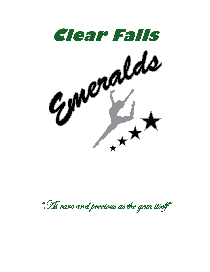

" Hs rare and precious as the gem itself"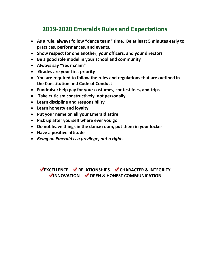# **2019-2020 Emeralds Rules and Expectations**

- **As a rule, always follow "dance team" time. Be at least 5 minutes early to practices, performances, and events.**
- **Show respect for one another, your officers, and your directors**
- **Be a good role model in your school and community**
- **Always say "Yes ma'am"**
- **Grades are your first priority**
- **You are required to follow the rules and regulations that are outlined in the Constitution and Code of Conduct**
- **Fundraise: help pay for your costumes, contest fees, and trips**
- **Take criticism constructively, not personally**
- **Learn discipline and responsibility**
- **Learn honesty and loyalty**
- **Put your name on all your Emerald attire**
- **Pick up after yourself where ever you go**
- **Do not leave things in the dance room, put them in your locker**
- **Have a positive attitude**
- *Being an Emerald is a privilege; not a right.*

**EXCELLENCE V RELATIONSHIPS V CHARACTER & INTEGRITY INNOVATION OPEN & HONEST COMMUNICATION**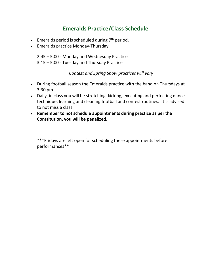## **Emeralds Practice/Class Schedule**

- Emeralds period is scheduled during  $7<sup>th</sup>$  period.
- Emeralds practice Monday-Thursday

2:45 – 5:00 - Monday and Wednesday Practice 3:15 – 5:00 - Tuesday and Thursday Practice

*Contest and Spring Show practices will vary*

- During football season the Emeralds practice with the band on Thursdays at 3:30 pm.
- Daily, in class you will be stretching, kicking, executing and perfecting dance technique, learning and cleaning football and contest routines. It is advised to not miss a class.
- **Remember to not schedule appointments during practice as per the Constitution, you will be penalized.**

\*\*\*Fridays are left open for scheduling these appointments before performances\*\*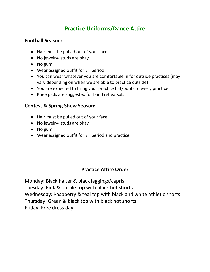## **Practice Uniforms/Dance Attire**

#### **Football Season:**

- Hair must be pulled out of your face
- No jewelry- studs are okay
- No gum
- Wear assigned outfit for  $7<sup>th</sup>$  period
- You can wear whatever you are comfortable in for outside practices (may vary depending on when we are able to practice outside)
- You are expected to bring your practice hat/boots to every practice
- Knee pads are suggested for band rehearsals

### **Contest & Spring Show Season:**

- Hair must be pulled out of your face
- No jewelry- studs are okay
- No gum
- Wear assigned outfit for  $7<sup>th</sup>$  period and practice

### **Practice Attire Order**

Monday: Black halter & black leggings/capris Tuesday: Pink & purple top with black hot shorts Wednesday: Raspberry & teal top with black and white athletic shorts Thursday: Green & black top with black hot shorts Friday: Free dress day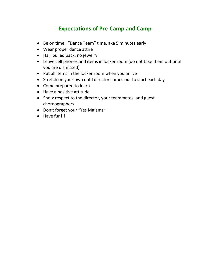# **Expectations of Pre-Camp and Camp**

- Be on time. "Dance Team" time, aka 5 minutes early
- Wear proper dance attire
- Hair pulled back, no jewelry
- Leave cell phones and items in locker room (do not take them out until you are dismissed)
- Put all items in the locker room when you arrive
- Stretch on your own until director comes out to start each day
- Come prepared to learn
- Have a positive attitude
- Show respect to the director, your teammates, and guest choreographers
- Don't forget your "Yes Ma'ams"
- Have fun!!!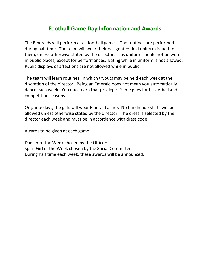### **Football Game Day Information and Awards**

The Emeralds will perform at all football games. The routines are performed during half time. The team will wear their designated field uniform issued to them, unless otherwise stated by the director. This uniform should not be worn in public places, except for performances. Eating while in uniform is not allowed. Public displays of affections are not allowed while in public.

The team will learn routines, in which tryouts may be held each week at the discretion of the director. Being an Emerald does not mean you automatically dance each week. You must earn that privilege. Same goes for basketball and competition seasons.

On game days, the girls will wear Emerald attire. No handmade shirts will be allowed unless otherwise stated by the director. The dress is selected by the director each week and must be in accordance with dress code.

Awards to be given at each game:

Dancer of the Week chosen by the Officers. Spirit Girl of the Week chosen by the Social Committee. During half time each week, these awards will be announced.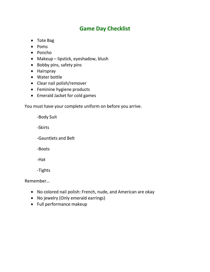## **Game Day Checklist**

- Tote Bag
- Poms
- Poncho
- Makeup lipstick, eyeshadow, blush
- Bobby pins, safety pins
- Hairspray
- Water bottle
- Clear nail polish/remover
- Feminine hygiene products
- Emerald Jacket for cold games

You must have your complete uniform on before you arrive.

-Body Suit

-Skirts

-Gauntlets and Belt

-Boots

-Hat

-Tights

Remember…

- No colored nail polish: French, nude, and American are okay
- No jewelry (Only emerald earrings)
- Full performance makeup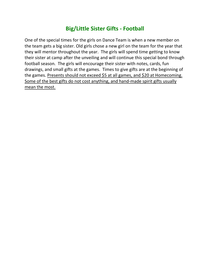# **Big/Little Sister Gifts - Football**

One of the special times for the girls on Dance Team is when a new member on the team gets a big sister. Old girls chose a new girl on the team for the year that they will mentor throughout the year. The girls will spend time getting to know their sister at camp after the unveiling and will continue this special bond through football season. The girls will encourage their sister with notes, cards, fun drawings, and small gifts at the games. Times to give gifts are at the beginning of the games. Presents should not exceed \$5 at all games, and \$20 at Homecoming. Some of the best gifts do not cost anything, and hand-made spirit gifts usually mean the most.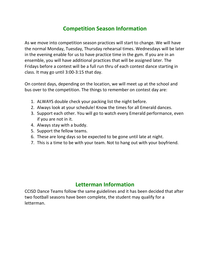## **Competition Season Information**

As we move into competition season practices will start to change. We will have the normal Monday, Tuesday, Thursday rehearsal times. Wednesdays will be later in the evening enable for us to have practice time in the gym. If you are in an ensemble, you will have additional practices that will be assigned later. The Fridays before a contest will be a full run thru of each contest dance starting in class. It may go until 3:00-3:15 that day.

On contest days, depending on the location, we will meet up at the school and bus over to the competition. The things to remember on contest day are:

- 1. ALWAYS double check your packing list the night before.
- 2. Always look at your schedule! Know the times for all Emerald dances.
- 3. Support each other. You will go to watch every Emerald performance, even if you are not in it.
- 4. Always stay with a buddy.
- 5. Support the fellow teams.
- 6. These are long days so be expected to be gone until late at night.
- 7. This is a time to be with your team. Not to hang out with your boyfriend.

### **Letterman Information**

CCISD Dance Teams follow the same guidelines and it has been decided that after two football seasons have been complete, the student may qualify for a letterman.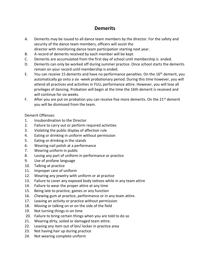### **Demerits**

- A. Demerits may be issued to all dance team members by the director. For the safety and security of the dance team members, officers will assist the director with monitoring dance team participation starting next year.
- B. A record of demerits received by each member will be kept.
- C. Demerits are accumulated from the first day of school until membership is ended.
- D. Demerits can only be worked off during summer practice. Once school starts the demerits remain on your record until membership is ended.
- E. You can receive 15 demerits and have no performance penalties. On the  $16<sup>th</sup>$  demerit, you automatically go onto a six -week probationary period. During this time however, you will attend all practices and activities in FULL performance attire. However, you will lose all privileges of dancing. Probation will begin at the time the 16th demerit is received and will continue for six weeks.
- F. After you are put on probation you can receive five more demerits. On the  $21^{st}$  demerit you will be dismissed from the team.

Demerit Offenses:

- 1. Insubordination to the Director
- 2. Failure to carry out or perform required activities
- 3. Violating the public display of affection rule
- 4. Eating or drinking in uniform without permission
- 5. Eating or drinking in the stands
- 6. Wearing nail polish at a performance
- 7. Wearing uniform in public
- 8. Losing any part of uniform in performance or practice
- 9. Use of profane language
- 10. Talking at practice
- 11. Improper care of uniform
- 12. Wearing any jewelry with uniform or at practice
- 13. Failure to cover any exposed body tattoos while in any team attire
- 14. Failure to wear the proper attire at any time
- 15. Being late to practice, games or any function
- 16. Chewing gum at practice, performance or in any team attire.
- 17. Leaving an activity or practice without permission
- 18. Moving or talking on or on the side of the field
- 19. Not turning things in on time
- 20. Failure to bring certain things when you are told to do so
- 21. Wearing dirty, soiled or damaged team attire.
- 22. Leaving any item out of bin/ locker in practice area
- 23. Not having hair up during practice
- 24. Not wearing complete uniform